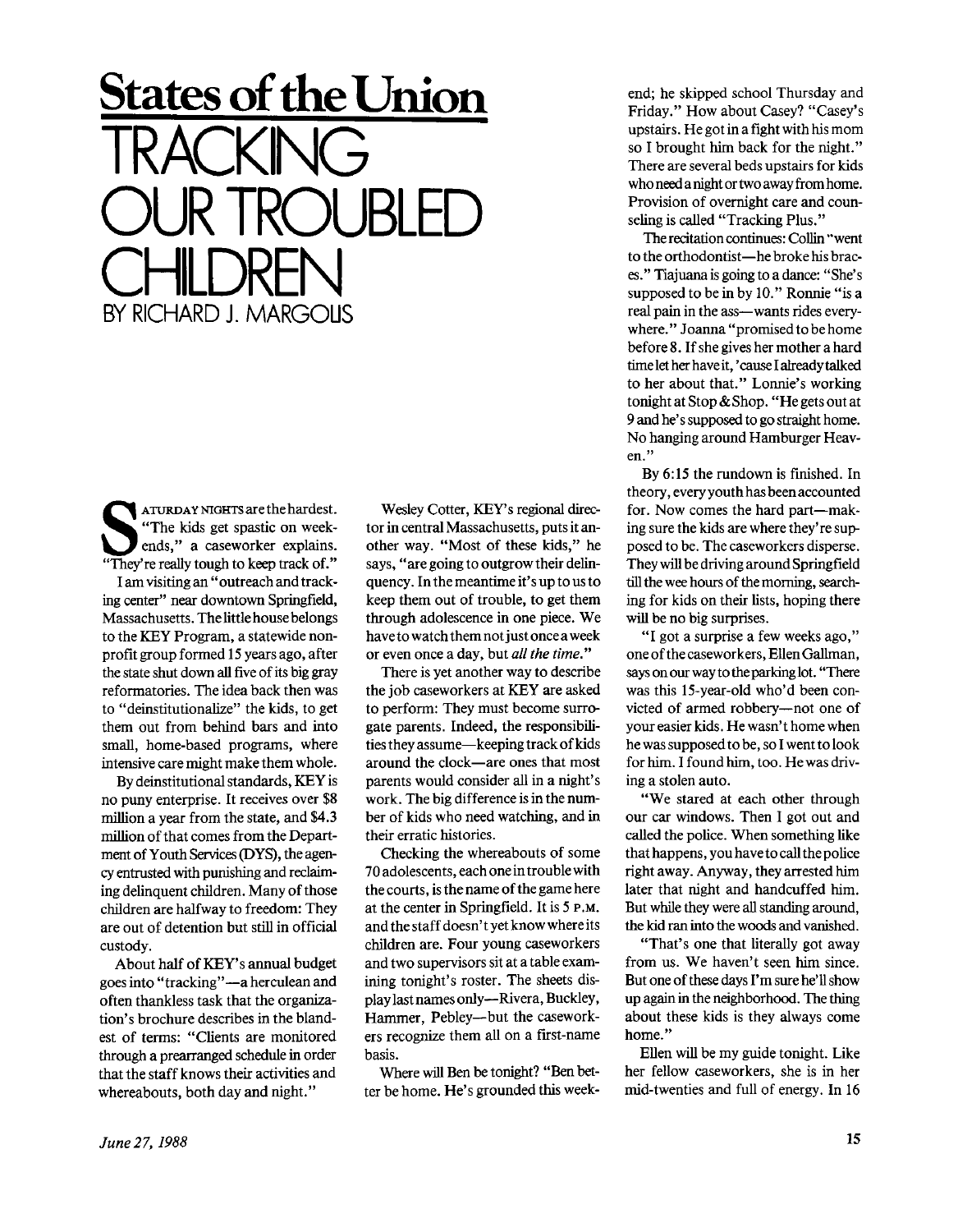**S**<br>
"The kids get spastic on week-<br>
ends," a caseworker explains.<br>
"They're really tough to keep track of." ATURDAY NIGHTS are the hardest. "The kids get spastic on weekends," a caseworker explains. I am visiting an " outreach and tracking center" near downtown Springfield, Massachusetts. The little house belongs to the KEY Program, a statewide nonprofit group formed 15 years ago, after the state shut down all five of its big gray reformatories. The idea back then was to "deinstitutionalize" the kids, to get them out from behind bars and into small, home-based programs, where intensive care might make them whole.

**States of the Union** 

OUR TROUBLED

TRACKING

CHILDREN<br>NGC 422 1442006 BY RICHARD J. MARGOUS

By deinstitutional standards, KEY is no puny enterprise. It receives over \$8 million a year from the state, and \$4.3 million of that comes from the Department of Youth Services (DYS), the agency entrusted with punishing and reclaiming delinquent children. Many of those children are halfway to freedom: They are out of detention but still in official custody.

About half of KEY'S annual budget goes into "tracking"—a herculean and often thankless task that the organization's brochure describes in the blandest of terms: "Clients are monitored through a prearranged schedule in order that the staff knows their activities and whereabouts, both day and night."

Wesley Cotter, KEY'S regional director in central Massachusetts, puts it another way. "Most of these kids," he says, " are going to outgrow their delinquency. In the meantime it'sup to us to keep them out of trouble, to get them through adolescence in one piece. We have to watch them not just once a week or even once a day, but *all the time."* 

There is yet another way to describe the job caseworkers at KEY are asked to perform: They must become surrogate parents. Indeed, the responsibilities they assume—keeping track of kids around the clock—are ones that most parents would consider all in a night's work. The big difference is in the number of kids who need watching, and in their erratic histories.

Checking the whereabouts of some 70 adolescents, each one in trouble with the courts, is the name of the game here at the center in Springfield. It is 5 P.M. and the staff doesn't yet know where its children are. Four young caseworkers and two supervisors sit at a table examining tonight's roster. The sheets display last names only—Rivera, Buckley, Hammer, Pebley—but the caseworkers recognize them all on a first-name basis.

Where will Ben be tonight? "Ben better be home. He's grounded this weekend; he skipped school Thursday and Friday." How about Casey? "Casey's upstairs. He got in a fight with his mom so I brought him back for the night." There are several beds upstairs for kids who need a night or two away from home. Provision of overnight care and counseling is called "Tracking Plus."

The recitation continues: Collin "went to the orthodontist—he broke his braces." Tiajuana is going to a dance: "She's supposed to be in by 10." Ronnie "is a real pain in the ass—wants rides everywhere." Joanna "promised to be home before 8. If she gives her mother a hard time let her have it, 'cause I already talked to her about that." Lonnie's working tonight at Stop & Shop. "He gets out at 9 and he's supposed to go straight home. No hanging around Hamburger Heaven."

By 6:15 the rundown is finished. In theory, every youth has been accounted for. Now comes the hard part—making sure the kids are where they're supposed to be. The caseworkers disperse. They will be driving around Springfield till the wee hours of the morning, searching for kids on their lists, hoping there will be no big surprises.

"I got a surprise a few weeks ago," one of the caseworkers, Ellen Gallman, says on our way to the parking lot. "There was this 15-year-old who'd been convicted of armed robbery—not one of your easier kids. He wasn't home when he was supposed to be, so I went to look for him. I found him, too. He was driving a stolen auto.

"We stared at each other through our car windows. Then I got out and called the police. When something like that happens, you have to call the police right away. Anyway, they arrested him later that night and handcuffed him. But while they were all standing around, the kid ran into the woods and vanished.

"That's one that literally got away from us. We haven't seen him since. But one of these days I'm sure he'll show up again in the neighborhood. The thing about these kids is they always come home."

Ellen will be my guide tonight. Like her fellow caseworkers, she is in her mid-twenties and full of energy. In 16